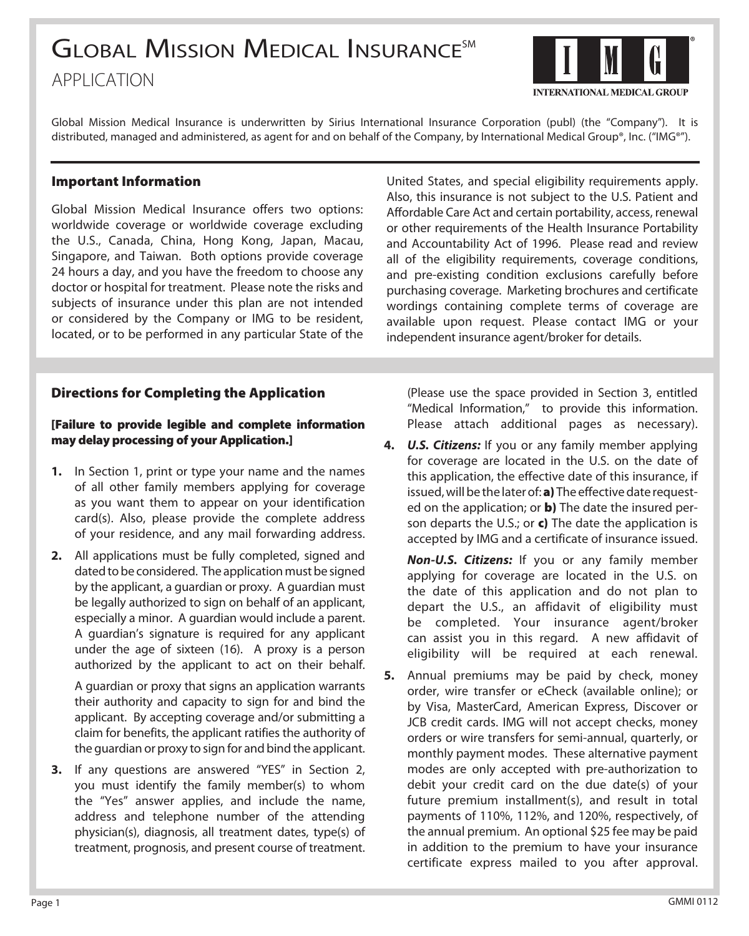# **GLOBAL MISSION MEDICAL INSURANCESM** application



Global Mission Medical Insurance is underwritten by Sirius International Insurance Corporation (publ) (the "Company"). It is distributed, managed and administered, as agent for and on behalf of the Company, by International Medical Group®, Inc. ("IMG®").

#### Important Information

Global Mission Medical Insurance offers two options: worldwide coverage or worldwide coverage excluding the U.S., Canada, China, Hong Kong, Japan, Macau, Singapore, and Taiwan. Both options provide coverage 24 hours a day, and you have the freedom to choose any doctor or hospital for treatment. Please note the risks and subjects of insurance under this plan are not intended or considered by the Company or IMG to be resident, located, or to be performed in any particular State of the United States, and special eligibility requirements apply. Also, this insurance is not subject to the U.S. Patient and Affordable Care Act and certain portability, access, renewal or other requirements of the Health Insurance Portability and Accountability Act of 1996. Please read and review all of the eligibility requirements, coverage conditions, and pre-existing condition exclusions carefully before purchasing coverage. Marketing brochures and certificate wordings containing complete terms of coverage are available upon request. Please contact IMG or your independent insurance agent/broker for details.

## Directions for Completing the Application

#### [Failure to provide legible and complete information may delay processing of your Application.]

- **1.** In Section 1, print or type your name and the names of all other family members applying for coverage as you want them to appear on your identification card(s). Also, please provide the complete address of your residence, and any mail forwarding address.
- **2.** All applications must be fully completed, signed and dated to be considered. The application must be signed by the applicant, a guardian or proxy. A guardian must be legally authorized to sign on behalf of an applicant, especially a minor. A guardian would include a parent. A guardian's signature is required for any applicant under the age of sixteen (16). A proxy is a person authorized by the applicant to act on their behalf.

A guardian or proxy that signs an application warrants their authority and capacity to sign for and bind the applicant. By accepting coverage and/or submitting a claim for benefits, the applicant ratifies the authority of the guardian or proxy to sign for and bind the applicant.

**3.** If any questions are answered "YES" in Section 2, you must identify the family member(s) to whom the "Yes" answer applies, and include the name, address and telephone number of the attending physician(s), diagnosis, all treatment dates, type(s) of treatment, prognosis, and present course of treatment. (Please use the space provided in Section 3, entitled "Medical Information," to provide this information. Please attach additional pages as necessary).

**4.** *U.S. Citizens:* If you or any family member applying for coverage are located in the U.S. on the date of this application, the effective date of this insurance, if issued, will be the later of: a) The effective date requested on the application; or  $\mathbf b$ ) The date the insured person departs the U.S.; or  $c$ ) The date the application is accepted by IMG and a certificate of insurance issued.

*Non-U.S. Citizens:* If you or any family member applying for coverage are located in the U.S. on the date of this application and do not plan to depart the U.S., an affidavit of eligibility must be completed. Your insurance agent/broker can assist you in this regard. A new affidavit of eligibility will be required at each renewal.

**5.** Annual premiums may be paid by check, money order, wire transfer or eCheck (available online); or by Visa, MasterCard, American Express, Discover or JCB credit cards. IMG will not accept checks, money orders or wire transfers for semi-annual, quarterly, or monthly payment modes. These alternative payment modes are only accepted with pre-authorization to debit your credit card on the due date(s) of your future premium installment(s), and result in total payments of 110%, 112%, and 120%, respectively, of the annual premium. An optional \$25 fee may be paid in addition to the premium to have your insurance certificate express mailed to you after approval.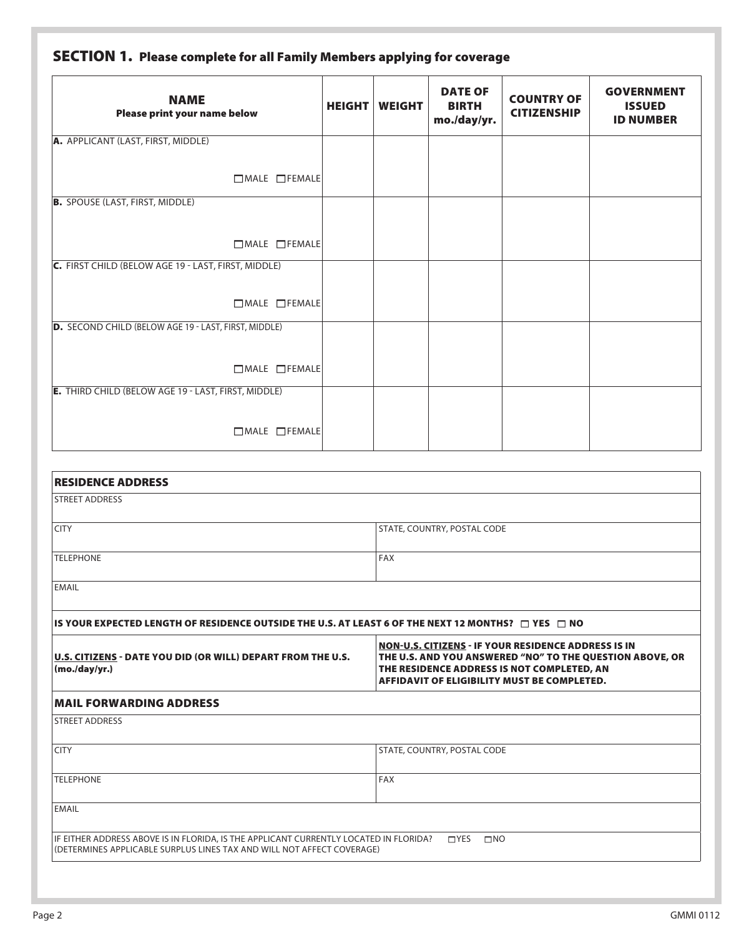| <b>NAME</b><br>Please print your name below                | <b>HEIGHT</b> | <b>WEIGHT</b> | <b>DATE OF</b><br><b>BIRTH</b><br>mo./day/yr. | <b>COUNTRY OF</b><br><b>CITIZENSHIP</b> | <b>GOVERNMENT</b><br><b>ISSUED</b><br><b>ID NUMBER</b> |
|------------------------------------------------------------|---------------|---------------|-----------------------------------------------|-----------------------------------------|--------------------------------------------------------|
| A. APPLICANT (LAST, FIRST, MIDDLE)                         |               |               |                                               |                                         |                                                        |
| $\Box$ MALE $\Box$ FEMALE                                  |               |               |                                               |                                         |                                                        |
| <b>B.</b> SPOUSE (LAST, FIRST, MIDDLE)                     |               |               |                                               |                                         |                                                        |
| □MALE □FEMALE                                              |               |               |                                               |                                         |                                                        |
| C. FIRST CHILD (BELOW AGE 19 - LAST, FIRST, MIDDLE)        |               |               |                                               |                                         |                                                        |
| □MALE □FEMALE                                              |               |               |                                               |                                         |                                                        |
| D. SECOND CHILD (BELOW AGE 19 - LAST, FIRST, MIDDLE)       |               |               |                                               |                                         |                                                        |
| $\Box$ MALE $\Box$ FEMALE                                  |               |               |                                               |                                         |                                                        |
| <b>E.</b> THIRD CHILD (BELOW AGE 19 - LAST, FIRST, MIDDLE) |               |               |                                               |                                         |                                                        |
| $\Box$ MALE $\Box$ FEMALE                                  |               |               |                                               |                                         |                                                        |

| <b>RESIDENCE ADDRESS</b>                                                                                                                                        |                                                                                                                                                                                                              |
|-----------------------------------------------------------------------------------------------------------------------------------------------------------------|--------------------------------------------------------------------------------------------------------------------------------------------------------------------------------------------------------------|
| <b>STREET ADDRESS</b>                                                                                                                                           |                                                                                                                                                                                                              |
| <b>CITY</b>                                                                                                                                                     | STATE, COUNTRY, POSTAL CODE                                                                                                                                                                                  |
| <b>TELEPHONE</b>                                                                                                                                                | FAX                                                                                                                                                                                                          |
| <b>EMAIL</b>                                                                                                                                                    |                                                                                                                                                                                                              |
| IS YOUR EXPECTED LENGTH OF RESIDENCE OUTSIDE THE U.S. AT LEAST 6 OF THE NEXT 12 MONTHS? $\Box$ YES $\Box$ NO                                                    |                                                                                                                                                                                                              |
| U.S. CITIZENS - DATE YOU DID (OR WILL) DEPART FROM THE U.S.<br>(mod/yr.)                                                                                        | NON-U.S. CITIZENS - IF YOUR RESIDENCE ADDRESS IS IN<br>THE U.S. AND YOU ANSWERED "NO" TO THE QUESTION ABOVE, OR<br>THE RESIDENCE ADDRESS IS NOT COMPLETED, AN<br>AFFIDAVIT OF ELIGIBILITY MUST BE COMPLETED. |
| <b>MAIL FORWARDING ADDRESS</b>                                                                                                                                  |                                                                                                                                                                                                              |
| <b>STREET ADDRESS</b>                                                                                                                                           |                                                                                                                                                                                                              |
| <b>CITY</b>                                                                                                                                                     | STATE, COUNTRY, POSTAL CODE                                                                                                                                                                                  |
| <b>TELEPHONE</b>                                                                                                                                                | FAX                                                                                                                                                                                                          |
| <b>EMAIL</b>                                                                                                                                                    |                                                                                                                                                                                                              |
| IF EITHER ADDRESS ABOVE IS IN FLORIDA, IS THE APPLICANT CURRENTLY LOCATED IN FLORIDA?<br>(DETERMINES APPLICABLE SURPLUS LINES TAX AND WILL NOT AFFECT COVERAGE) | $\sqcap$ YES<br>$\Box$ NO                                                                                                                                                                                    |
|                                                                                                                                                                 |                                                                                                                                                                                                              |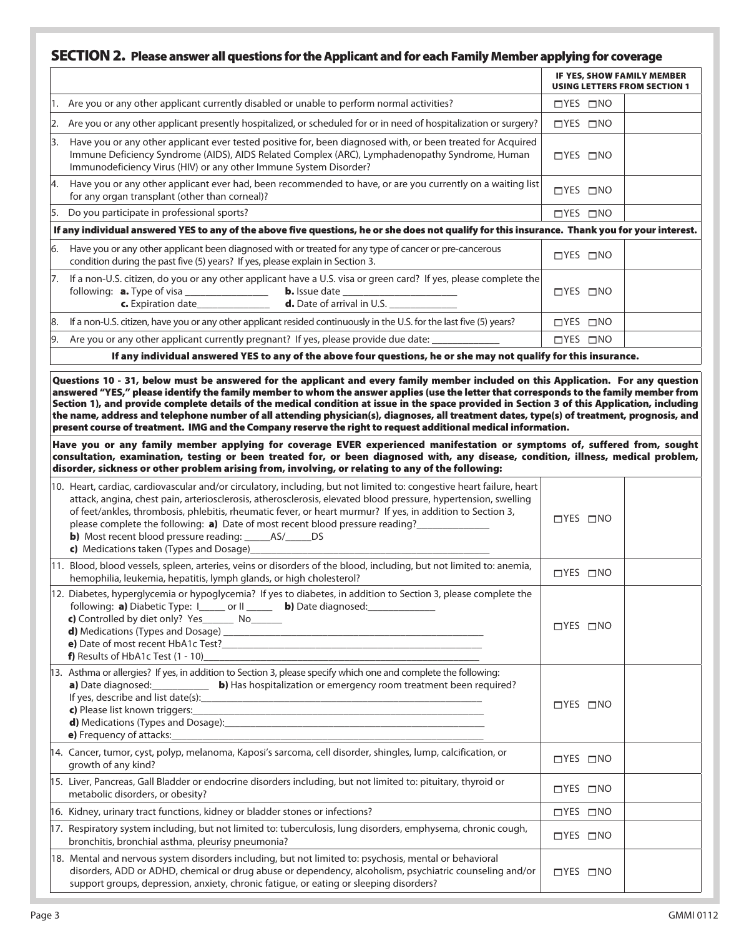## SECTION 2. Please answer all questions for the Applicant and for each Family Member applying for coverage

|    |                                                                                                                                                                                                                                                                                                                                                                                                                                                                                                                                                                                                                                                                                              | IF YES, SHOW FAMILY MEMBER<br><b>USING LETTERS FROM SECTION 1</b> |  |
|----|----------------------------------------------------------------------------------------------------------------------------------------------------------------------------------------------------------------------------------------------------------------------------------------------------------------------------------------------------------------------------------------------------------------------------------------------------------------------------------------------------------------------------------------------------------------------------------------------------------------------------------------------------------------------------------------------|-------------------------------------------------------------------|--|
|    | 1. Are you or any other applicant currently disabled or unable to perform normal activities?                                                                                                                                                                                                                                                                                                                                                                                                                                                                                                                                                                                                 | $\Box$ YES $\Box$ NO                                              |  |
| 2. | Are you or any other applicant presently hospitalized, or scheduled for or in need of hospitalization or surgery?                                                                                                                                                                                                                                                                                                                                                                                                                                                                                                                                                                            | $\Box$ YES $\Box$ NO                                              |  |
|    | 3. Have you or any other applicant ever tested positive for, been diagnosed with, or been treated for Acquired<br>Immune Deficiency Syndrome (AIDS), AIDS Related Complex (ARC), Lymphadenopathy Syndrome, Human<br>Immunodeficiency Virus (HIV) or any other Immune System Disorder?                                                                                                                                                                                                                                                                                                                                                                                                        | $\Box$ YES $\Box$ NO                                              |  |
|    | 4. Have you or any other applicant ever had, been recommended to have, or are you currently on a waiting list<br>for any organ transplant (other than corneal)?                                                                                                                                                                                                                                                                                                                                                                                                                                                                                                                              | $\Box$ YES $\Box$ NO                                              |  |
| 5. | Do you participate in professional sports?                                                                                                                                                                                                                                                                                                                                                                                                                                                                                                                                                                                                                                                   | $\Box$ YES $\Box$ NO                                              |  |
|    | If any individual answered YES to any of the above five questions, he or she does not qualify for this insurance. Thank you for your interest.                                                                                                                                                                                                                                                                                                                                                                                                                                                                                                                                               |                                                                   |  |
| 6. | Have you or any other applicant been diagnosed with or treated for any type of cancer or pre-cancerous<br>condition during the past five (5) years? If yes, please explain in Section 3.                                                                                                                                                                                                                                                                                                                                                                                                                                                                                                     | $\Box$ YES $\Box$ NO                                              |  |
| 7. | If a non-U.S. citizen, do you or any other applicant have a U.S. visa or green card? If yes, please complete the<br>following: <b>a.</b> Type of visa _________________ <b>b.</b> Issue date _____________<br><b>c.</b> Expiration date ________________ <b>d.</b> Date of arrival in U.S.                                                                                                                                                                                                                                                                                                                                                                                                   | $\Box$ YES $\Box$ NO                                              |  |
| 8. | If a non-U.S. citizen, have you or any other applicant resided continuously in the U.S. for the last five (5) years?                                                                                                                                                                                                                                                                                                                                                                                                                                                                                                                                                                         | $\Box$ YES $\Box$ NO                                              |  |
| 9. | Are you or any other applicant currently pregnant? If yes, please provide due date:                                                                                                                                                                                                                                                                                                                                                                                                                                                                                                                                                                                                          | $\Box$ YES $\Box$ NO                                              |  |
|    | If any individual answered YES to any of the above four questions, he or she may not qualify for this insurance.                                                                                                                                                                                                                                                                                                                                                                                                                                                                                                                                                                             |                                                                   |  |
|    | Questions 10 - 31, below must be answered for the applicant and every family member included on this Application. For any question<br>answered "YES," please identify the family member to whom the answer applies (use the letter that corresponds to the family member from<br>Section 1), and provide complete details of the medical condition at issue in the space provided in Section 3 of this Application, including<br>the name, address and telephone number of all attending physician(s), diagnoses, all treatment dates, type(s) of treatment, prognosis, and<br>present course of treatment. IMG and the Company reserve the right to request additional medical information. |                                                                   |  |
|    | Have you or any family member applying for coverage EVER experienced manifestation or symptoms of, suffered from, sought<br>consultation, examination, testing or been treated for, or been diagnosed with, any disease, condition, illness, medical problem,<br>disorder, sickness or other problem arising from, involving, or relating to any of the following:                                                                                                                                                                                                                                                                                                                           |                                                                   |  |
|    | 10. Heart, cardiac, cardiovascular and/or circulatory, including, but not limited to: congestive heart failure, heart<br>attack, angina, chest pain, arteriosclerosis, atherosclerosis, elevated blood pressure, hypertension, swelling<br>of feet/ankles, thrombosis, phlebitis, rheumatic fever, or heart murmur? If yes, in addition to Section 3,<br>please complete the following: a) Date of most recent blood pressure reading?<br><b>b</b> ) Most recent blood pressure reading: _______ AS/______ DS<br>c) Medications taken (Types and Dosage)                                                                                                                                     | $\Box$ YES $\Box$ NO                                              |  |
|    | 11. Blood, blood vessels, spleen, arteries, veins or disorders of the blood, including, but not limited to: anemia,<br>hemophilia, leukemia, hepatitis, lymph glands, or high cholesterol?                                                                                                                                                                                                                                                                                                                                                                                                                                                                                                   | $\Box$ YES $\Box$ NO                                              |  |
|    | 12. Diabetes, hyperglycemia or hypoglycemia? If yes to diabetes, in addition to Section 3, please complete the<br>following: a) Diabetic Type: I_____ or II _____ b) Date diagnosed:<br><b>d)</b> Medications (Types and Dosage)<br>e) Date of most recent HbA1c Test?<br>f) Results of HbA1c Test $(1 - 10)$                                                                                                                                                                                                                                                                                                                                                                                | $\Box$ YES $\Box$ NO                                              |  |
|    | 13. Asthma or allergies? If yes, in addition to Section 3, please specify which one and complete the following:<br>a) Date diagnosed: <b>b</b> ) Has hospitalization or emergency room treatment been required?<br>c) Please list known triggers:<br><b>d</b> ) Medications (Types and Dosage): <b>Example 2018</b><br>e) Frequency of attacks:                                                                                                                                                                                                                                                                                                                                              | $\Box$ YES $\Box$ NO                                              |  |
|    | 14. Cancer, tumor, cyst, polyp, melanoma, Kaposi's sarcoma, cell disorder, shingles, lump, calcification, or<br>growth of any kind?                                                                                                                                                                                                                                                                                                                                                                                                                                                                                                                                                          | $\Box$ YES $\Box$ NO                                              |  |
|    | 15. Liver, Pancreas, Gall Bladder or endocrine disorders including, but not limited to: pituitary, thyroid or<br>metabolic disorders, or obesity?                                                                                                                                                                                                                                                                                                                                                                                                                                                                                                                                            | $\Box$ YES $\Box$ NO                                              |  |
|    | 16. Kidney, urinary tract functions, kidney or bladder stones or infections?                                                                                                                                                                                                                                                                                                                                                                                                                                                                                                                                                                                                                 | $\Box$ YES $\Box$ NO                                              |  |
|    | 17. Respiratory system including, but not limited to: tuberculosis, lung disorders, emphysema, chronic cough,<br>bronchitis, bronchial asthma, pleurisy pneumonia?                                                                                                                                                                                                                                                                                                                                                                                                                                                                                                                           | $\Box$ YES $\Box$ NO                                              |  |
|    | 18. Mental and nervous system disorders including, but not limited to: psychosis, mental or behavioral<br>disorders, ADD or ADHD, chemical or drug abuse or dependency, alcoholism, psychiatric counseling and/or<br>support groups, depression, anxiety, chronic fatigue, or eating or sleeping disorders?                                                                                                                                                                                                                                                                                                                                                                                  | $\Box$ YES $\Box$ NO                                              |  |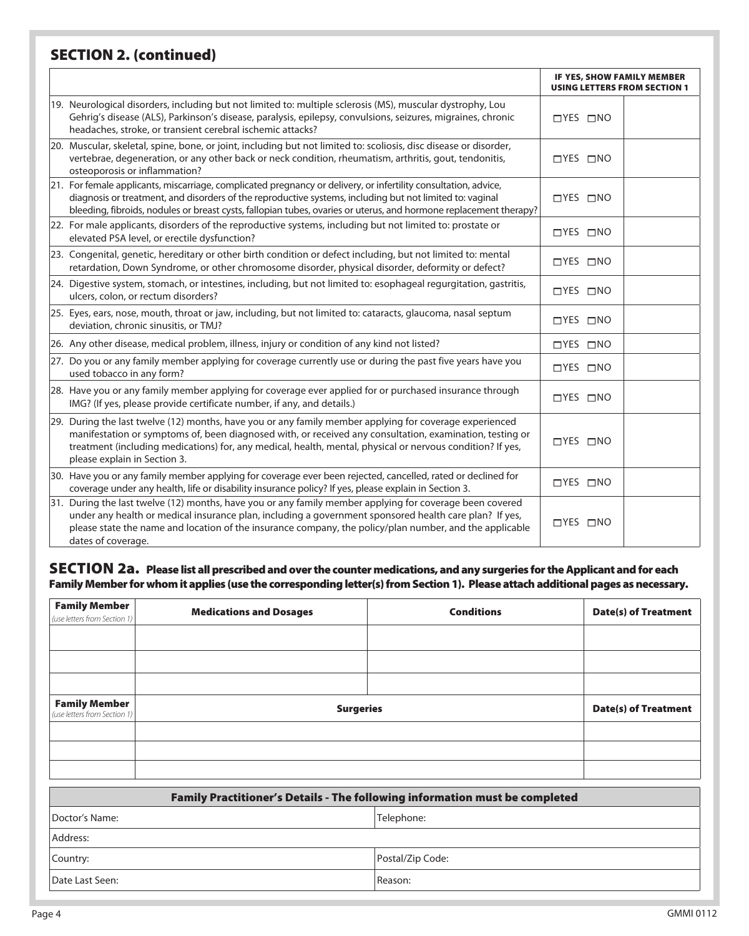## SECTION 2. (continued)

|                                                                                                                                                                                                                                                                                                                                                                    | IF YES, SHOW FAMILY MEMBER<br><b>USING LETTERS FROM SECTION 1</b> |  |
|--------------------------------------------------------------------------------------------------------------------------------------------------------------------------------------------------------------------------------------------------------------------------------------------------------------------------------------------------------------------|-------------------------------------------------------------------|--|
| 19. Neurological disorders, including but not limited to: multiple sclerosis (MS), muscular dystrophy, Lou<br>Gehrig's disease (ALS), Parkinson's disease, paralysis, epilepsy, convulsions, seizures, migraines, chronic<br>headaches, stroke, or transient cerebral ischemic attacks?                                                                            | $\Box$ YES $\Box$ NO                                              |  |
| 20. Muscular, skeletal, spine, bone, or joint, including but not limited to: scoliosis, disc disease or disorder,<br>vertebrae, degeneration, or any other back or neck condition, rheumatism, arthritis, gout, tendonitis,<br>osteoporosis or inflammation?                                                                                                       | $\Box$ YES $\Box$ NO                                              |  |
| 21. For female applicants, miscarriage, complicated pregnancy or delivery, or infertility consultation, advice,<br>diagnosis or treatment, and disorders of the reproductive systems, including but not limited to: vaginal<br>bleeding, fibroids, nodules or breast cysts, fallopian tubes, ovaries or uterus, and hormone replacement therapy?                   | $\Box$ YES $\Box$ NO                                              |  |
| 22. For male applicants, disorders of the reproductive systems, including but not limited to: prostate or<br>elevated PSA level, or erectile dysfunction?                                                                                                                                                                                                          | $\Box$ YES $\Box$ NO                                              |  |
| [23. Congenital, genetic, hereditary or other birth condition or defect including, but not limited to: mental<br>retardation, Down Syndrome, or other chromosome disorder, physical disorder, deformity or defect?                                                                                                                                                 | $\Box$ YES $\Box$ NO                                              |  |
| 24. Digestive system, stomach, or intestines, including, but not limited to: esophageal regurgitation, gastritis,<br>ulcers, colon, or rectum disorders?                                                                                                                                                                                                           | $\Box$ YES $\Box$ NO                                              |  |
| 25. Eyes, ears, nose, mouth, throat or jaw, including, but not limited to: cataracts, glaucoma, nasal septum<br>deviation, chronic sinusitis, or TMJ?                                                                                                                                                                                                              | $\Box$ YES $\Box$ NO                                              |  |
| [26. Any other disease, medical problem, illness, injury or condition of any kind not listed?                                                                                                                                                                                                                                                                      | $\Box$ YES $\Box$ NO                                              |  |
| 27. Do you or any family member applying for coverage currently use or during the past five years have you<br>used tobacco in any form?                                                                                                                                                                                                                            | $\Box$ YES $\Box$ NO                                              |  |
| 28. Have you or any family member applying for coverage ever applied for or purchased insurance through<br>IMG? (If yes, please provide certificate number, if any, and details.)                                                                                                                                                                                  | $\Box$ YES $\Box$ NO                                              |  |
| [29. During the last twelve (12) months, have you or any family member applying for coverage experienced<br>manifestation or symptoms of, been diagnosed with, or received any consultation, examination, testing or<br>treatment (including medications) for, any medical, health, mental, physical or nervous condition? If yes,<br>please explain in Section 3. | $\Box$ YES $\Box$ NO                                              |  |
| 30. Have you or any family member applying for coverage ever been rejected, cancelled, rated or declined for<br>coverage under any health, life or disability insurance policy? If yes, please explain in Section 3.                                                                                                                                               | $\Box$ YES $\Box$ NO                                              |  |
| 31. During the last twelve (12) months, have you or any family member applying for coverage been covered<br>under any health or medical insurance plan, including a government sponsored health care plan? If yes,<br>please state the name and location of the insurance company, the policy/plan number, and the applicable<br>dates of coverage.                | $\Box$ YES $\Box$ NO                                              |  |

#### SECTION 2a. Please list all prescribed and over the counter medications, and any surgeries for the Applicant and for each Family Member for whom it applies (use the corresponding letter(s) from Section 1). Please attach additional pages as necessary.

| <b>Family Member</b><br>(use letters from Section 1) | <b>Medications and Dosages</b> | <b>Conditions</b>                                                           | <b>Date(s) of Treatment</b> |
|------------------------------------------------------|--------------------------------|-----------------------------------------------------------------------------|-----------------------------|
|                                                      |                                |                                                                             |                             |
|                                                      |                                |                                                                             |                             |
| <b>Family Member</b><br>(use letters from Section 1) | <b>Surgeries</b>               |                                                                             | <b>Date(s) of Treatment</b> |
|                                                      |                                |                                                                             |                             |
|                                                      |                                |                                                                             |                             |
|                                                      |                                | Family Practitioner's Details - The following information must be completed |                             |
| Doctor's Name:                                       |                                | Telephone:                                                                  |                             |
| Address:                                             |                                |                                                                             |                             |
| Country:                                             |                                | Postal/Zip Code:                                                            |                             |
| Date Last Seen:                                      |                                | Reason:                                                                     |                             |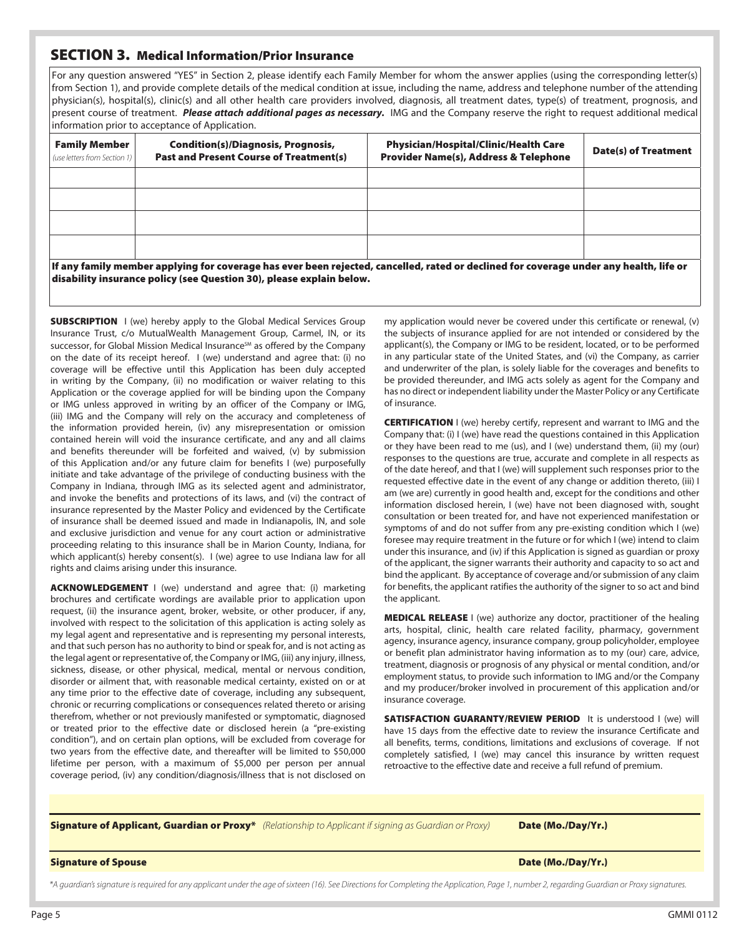### SECTION 3. Medical Information/Prior Insurance

For any question answered "YES" in Section 2, please identify each Family Member for whom the answer applies (using the corresponding letter(s) from Section 1), and provide complete details of the medical condition at issue, including the name, address and telephone number of the attending physician(s), hospital(s), clinic(s) and all other health care providers involved, diagnosis, all treatment dates, type(s) of treatment, prognosis, and present course of treatment. *Please attach additional pages as necessary.* IMG and the Company reserve the right to request additional medical information prior to acceptance of Application.

| <b>Family Member</b><br>(use letters from Section 1)                                                                                                                                                           | <b>Condition(s)/Diagnosis, Prognosis,</b><br><b>Past and Present Course of Treatment(s)</b> | <b>Physician/Hospital/Clinic/Health Care</b><br><b>Provider Name(s), Address &amp; Telephone</b> | <b>Date(s) of Treatment</b> |  |  |
|----------------------------------------------------------------------------------------------------------------------------------------------------------------------------------------------------------------|---------------------------------------------------------------------------------------------|--------------------------------------------------------------------------------------------------|-----------------------------|--|--|
|                                                                                                                                                                                                                |                                                                                             |                                                                                                  |                             |  |  |
|                                                                                                                                                                                                                |                                                                                             |                                                                                                  |                             |  |  |
|                                                                                                                                                                                                                |                                                                                             |                                                                                                  |                             |  |  |
|                                                                                                                                                                                                                |                                                                                             |                                                                                                  |                             |  |  |
| lf any family member applying for coverage has ever been rejected, cancelled, rated or declined for coverage under any health, life or<br>disability insurance policy (see Question 30), please explain below. |                                                                                             |                                                                                                  |                             |  |  |

**SUBSCRIPTION** I (we) hereby apply to the Global Medical Services Group Insurance Trust, c/o MutualWealth Management Group, Carmel, IN, or its successor, for Global Mission Medical Insurance<sup>sM</sup> as offered by the Company on the date of its receipt hereof. I (we) understand and agree that: (i) no coverage will be effective until this Application has been duly accepted in writing by the Company, (ii) no modification or waiver relating to this Application or the coverage applied for will be binding upon the Company or IMG unless approved in writing by an officer of the Company or IMG, (iii) IMG and the Company will rely on the accuracy and completeness of the information provided herein, (iv) any misrepresentation or omission contained herein will void the insurance certificate, and any and all claims and benefits thereunder will be forfeited and waived, (v) by submission of this Application and/or any future claim for benefits I (we) purposefully initiate and take advantage of the privilege of conducting business with the Company in Indiana, through IMG as its selected agent and administrator, and invoke the benefits and protections of its laws, and (vi) the contract of insurance represented by the Master Policy and evidenced by the Certificate of insurance shall be deemed issued and made in Indianapolis, IN, and sole and exclusive jurisdiction and venue for any court action or administrative proceeding relating to this insurance shall be in Marion County, Indiana, for which applicant(s) hereby consent(s). I (we) agree to use Indiana law for all rights and claims arising under this insurance.

ACKNOWLEDGEMENT I (we) understand and agree that: (i) marketing brochures and certificate wordings are available prior to application upon request, (ii) the insurance agent, broker, website, or other producer, if any, involved with respect to the solicitation of this application is acting solely as my legal agent and representative and is representing my personal interests, and that such person has no authority to bind or speak for, and is not acting as the legal agent or representative of, the Company or IMG, (iii) any injury, illness, sickness, disease, or other physical, medical, mental or nervous condition, disorder or ailment that, with reasonable medical certainty, existed on or at any time prior to the effective date of coverage, including any subsequent, chronic or recurring complications or consequences related thereto or arising therefrom, whether or not previously manifested or symptomatic, diagnosed or treated prior to the effective date or disclosed herein (a "pre-existing condition"), and on certain plan options, will be excluded from coverage for two years from the effective date, and thereafter will be limited to \$50,000 lifetime per person, with a maximum of \$5,000 per person per annual coverage period, (iv) any condition/diagnosis/illness that is not disclosed on my application would never be covered under this certificate or renewal, (v) the subjects of insurance applied for are not intended or considered by the applicant(s), the Company or IMG to be resident, located, or to be performed in any particular state of the United States, and (vi) the Company, as carrier and underwriter of the plan, is solely liable for the coverages and benefits to be provided thereunder, and IMG acts solely as agent for the Company and has no direct or independent liability under the Master Policy or any Certificate of insurance.

**CERTIFICATION** I (we) hereby certify, represent and warrant to IMG and the Company that: (i) I (we) have read the questions contained in this Application or they have been read to me (us), and I (we) understand them, (ii) my (our) responses to the questions are true, accurate and complete in all respects as of the date hereof, and that I (we) will supplement such responses prior to the requested effective date in the event of any change or addition thereto, (iii) I am (we are) currently in good health and, except for the conditions and other information disclosed herein, I (we) have not been diagnosed with, sought consultation or been treated for, and have not experienced manifestation or symptoms of and do not suffer from any pre-existing condition which I (we) foresee may require treatment in the future or for which I (we) intend to claim under this insurance, and (iv) if this Application is signed as guardian or proxy of the applicant, the signer warrants their authority and capacity to so act and bind the applicant. By acceptance of coverage and/or submission of any claim for benefits, the applicant ratifies the authority of the signer to so act and bind the applicant.

MEDICAL RELEASE I (we) authorize any doctor, practitioner of the healing arts, hospital, clinic, health care related facility, pharmacy, government agency, insurance agency, insurance company, group policyholder, employee or benefit plan administrator having information as to my (our) care, advice, treatment, diagnosis or prognosis of any physical or mental condition, and/or employment status, to provide such information to IMG and/or the Company and my producer/broker involved in procurement of this application and/or insurance coverage.

SATISFACTION GUARANTY/REVIEW PERIOD It is understood I (we) will have 15 days from the effective date to review the insurance Certificate and all benefits, terms, conditions, limitations and exclusions of coverage. If not completely satisfied, I (we) may cancel this insurance by written request retroactive to the effective date and receive a full refund of premium.

Signature of Applicant, Guardian or Proxy\* *(Relationship to Applicant if signing as Guardian or Proxy)* Date (Mo./Day/Yr.)

#### Signature of Spouse Date (Mo./Day/Yr.)

*\*A guardian's signature is required for any applicant under the age of sixteen (16). See Directions for Completing the Application, Page 1, number 2, regarding Guardian or Proxy signatures.*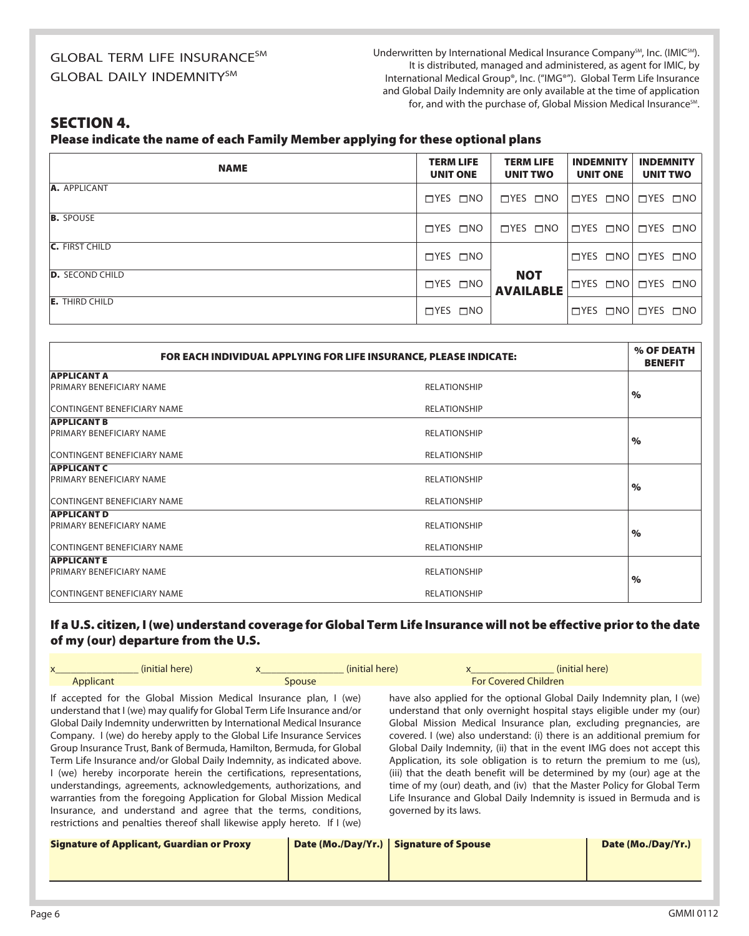## GLOBAL TERM LIFE INSURANCE<sup>SM</sup> **GLOBAL DAILY INDEMNITYSM**

Underwritten by International Medical Insurance Company<sup>SM</sup>, Inc. (IMIC<sup>SM</sup>). It is distributed, managed and administered, as agent for IMIC, by International Medical Group®, Inc. ("IMG®"). Global Term Life Insurance and Global Daily Indemnity are only available at the time of application for, and with the purchase of, Global Mission Medical Insurance<sup>SM</sup>.

## SECTION 4.

Please indicate the name of each Family Member applying for these optional plans

| <b>NAME</b>            | <b>TERM LIFE</b><br><b>UNIT ONE</b> | <b>TERM LIFE</b><br><b>UNIT TWO</b> | <b>INDEMNITY</b><br><b>UNIT ONE</b> | <b>INDEMNITY</b><br><b>UNIT TWO</b>              |
|------------------------|-------------------------------------|-------------------------------------|-------------------------------------|--------------------------------------------------|
| A. APPLICANT           | UTYES UNO                           | $\Box$ YES $\Box$ NO                |                                     | $\Box$ YES $\Box$ NO $\Box$ YES $\Box$ NO $\Box$ |
| <b>B.</b> SPOUSE       | $\Box$ YES $\Box$ NO                | $\Box$ YES $\Box$ NO                |                                     | $\Box$ YES $\Box$ NO $\Box$ YES $\Box$ NO        |
| <b>C.</b> FIRST CHILD  | $\Box$ YES $\Box$ NO                |                                     |                                     | $\Box$ YES $\Box$ NO $\Box$ YES $\Box$ NO $\Box$ |
| <b>D.</b> SECOND CHILD | $\Box$ YES $\Box$ NO                | <b>NOT</b><br><b>AVAILABLE</b>      |                                     | $\Box$ YES $\Box$ NO $\Box$ YES $\Box$ NO $\Box$ |
| <b>E.</b> THIRD CHILD  | $\Box$ YES $\Box$ NO                |                                     |                                     | $\Box$ YES $\Box$ NO $\Box$ YES $\Box$ NO        |

| FOR EACH INDIVIDUAL APPLYING FOR LIFE INSURANCE, PLEASE INDICATE: |                     | % OF DEATH<br><b>BENEFIT</b> |
|-------------------------------------------------------------------|---------------------|------------------------------|
| <b>APPLICANT A</b>                                                |                     |                              |
| <b>PRIMARY BENEFICIARY NAME</b>                                   | <b>RELATIONSHIP</b> | $\%$                         |
| CONTINGENT BENEFICIARY NAME                                       | <b>RELATIONSHIP</b> |                              |
| <b>APPLICANT B</b>                                                |                     |                              |
| <b>PRIMARY BENEFICIARY NAME</b>                                   | <b>RELATIONSHIP</b> | $\%$                         |
| <b>CONTINGENT BENEFICIARY NAME</b>                                | <b>RELATIONSHIP</b> |                              |
| <b>APPLICANT C</b>                                                |                     |                              |
| <b>PRIMARY BENEFICIARY NAME</b>                                   | <b>RELATIONSHIP</b> | $\%$                         |
| <b>CONTINGENT BENEFICIARY NAME</b>                                | <b>RELATIONSHIP</b> |                              |
| <b>APPLICANT D</b>                                                |                     |                              |
| <b>PRIMARY BENEFICIARY NAME</b>                                   | <b>RELATIONSHIP</b> | $\%$                         |
| <b>CONTINGENT BENEFICIARY NAME</b>                                | <b>RELATIONSHIP</b> |                              |
| <b>APPLICANTE</b>                                                 |                     |                              |
| <b>PRIMARY BENEFICIARY NAME</b><br><b>RELATIONSHIP</b>            |                     | $\%$                         |
| CONTINGENT BENEFICIARY NAME                                       | <b>RELATIONSHIP</b> |                              |

#### If a U.S. citizen, I (we) understand coverage for Global Term Life Insurance will not be effective prior to the date of my (our) departure from the U.S.

|           | (initial here)                                                                                                                                                                                                                                                                                                                                                                                        | (initial here) | (initial here)                                                                                                                                                     |
|-----------|-------------------------------------------------------------------------------------------------------------------------------------------------------------------------------------------------------------------------------------------------------------------------------------------------------------------------------------------------------------------------------------------------------|----------------|--------------------------------------------------------------------------------------------------------------------------------------------------------------------|
| Applicant | Spouse                                                                                                                                                                                                                                                                                                                                                                                                |                | <b>For Covered Children</b>                                                                                                                                        |
|           | If accepted for the Global Mission Medical Insurance plan, I (we)<br>. The discontinued the start form ( ) as seen as set $\mathbf{f} \in \mathbf{f}$ , $\mathbf{f} \in \mathbf{f}$ , $\mathbf{f} \in \mathbf{f}$ , $\mathbf{f} \in \mathbf{f}$ , $\mathbf{f} \in \mathbf{f}$ , $\mathbf{f} \in \mathbf{f}$ , $\mathbf{f} \in \mathbf{f}$ , $\mathbf{f} \in \mathbf{f}$ , $\mathbf{f} \in \mathbf{f}$ |                | have also applied for the optional Global Daily Indemnity p<br>والمستندر والطائمة المستحدث والمسائل والسامية ومعارضة والمناسب والمستحدث والمساري والمستحدث المستحد |

understand that I (we) may qualify for Global Term Life Insurance and/or Global Daily Indemnity underwritten by International Medical Insurance Company. I (we) do hereby apply to the Global Life Insurance Services Group Insurance Trust, Bank of Bermuda, Hamilton, Bermuda, for Global Term Life Insurance and/or Global Daily Indemnity, as indicated above. I (we) hereby incorporate herein the certifications, representations, understandings, agreements, acknowledgements, authorizations, and warranties from the foregoing Application for Global Mission Medical Insurance, and understand and agree that the terms, conditions, restrictions and penalties thereof shall likewise apply hereto. If I (we)

plan, I (we) understand that only overnight hospital stays eligible under my (our) Global Mission Medical Insurance plan, excluding pregnancies, are covered. I (we) also understand: (i) there is an additional premium for Global Daily Indemnity, (ii) that in the event IMG does not accept this Application, its sole obligation is to return the premium to me (us), (iii) that the death benefit will be determined by my (our) age at the time of my (our) death, and (iv) that the Master Policy for Global Term Life Insurance and Global Daily Indemnity is issued in Bermuda and is governed by its laws.

| <b>Signature of Applicant, Guardian or Proxy</b> | Date (Mo./Day/Yr.)   Signature of Spouse | Date (Mo./Day/Yr.) |
|--------------------------------------------------|------------------------------------------|--------------------|
|                                                  |                                          |                    |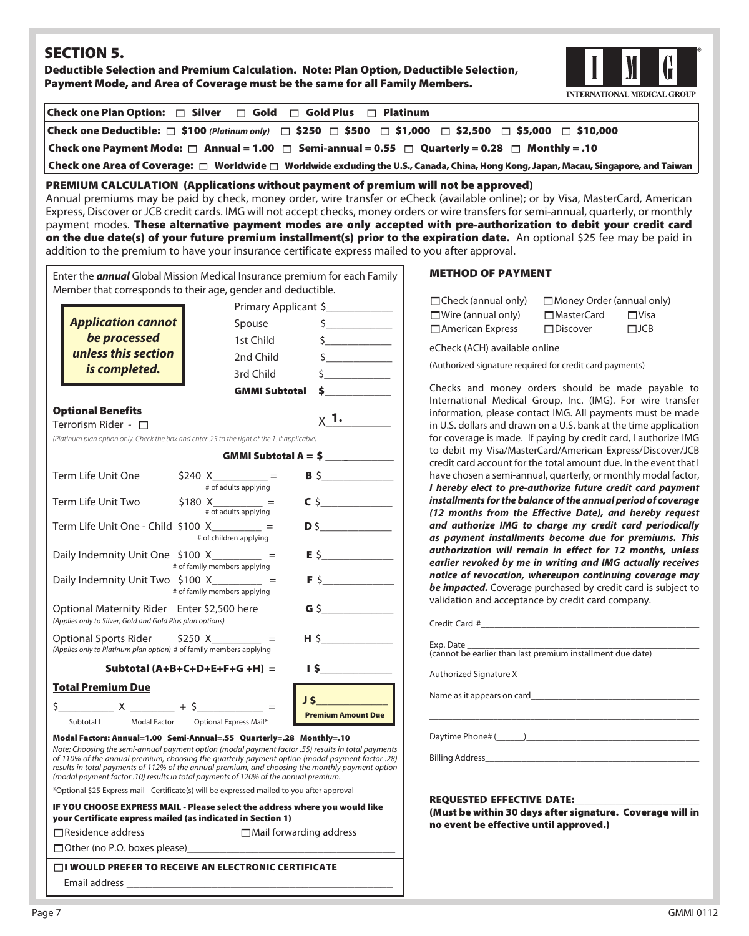## SECTION 5.

Deductible Selection and Premium Calculation. Note: Plan Option, Deductible Selection, Payment Mode, and Area of Coverage must be the same for all Family Members.



| Check one Plan Option: $\Box$ Silver $\Box$ Gold $\Box$ Gold Plus $\Box$ Platinum                                                               |  |  |
|-------------------------------------------------------------------------------------------------------------------------------------------------|--|--|
| Check one Deductible: □ \$100 (Platinum only) □ \$250 □ \$500 □ \$1,000 □ \$2,500 □ \$5,000 □ \$10,000                                          |  |  |
| Check one Payment Mode: $\Box$ Annual = 1.00 $\Box$ Semi-annual = 0.55 $\Box$ Quarterly = 0.28 $\Box$ Monthly = .10                             |  |  |
| Check one Area of Coverage: $\Box$ Worldwide $\Box$ Worldwide excluding the U.S., Canada, China, Hong Kong, Japan, Macau, Singapore, and Taiwan |  |  |
| <b>PREMIUM CALCULATION (Applications without payment of premium will not be approved)</b>                                                       |  |  |

Annual premiums may be paid by check, money order, wire transfer or eCheck (available online); or by Visa, MasterCard, American Express, Discover or JCB credit cards. IMG will not accept checks, money orders or wire transfers for semi-annual, quarterly, or monthly payment modes. These alternative payment modes are only accepted with pre-authorization to debit your credit card on the due date(s) of your future premium installment(s) prior to the expiration date. An optional \$25 fee may be paid in addition to the premium to have your insurance certificate express mailed to you after approval.

| Enter the <b>annual</b> Global Mission Medical Insurance premium for each Family<br>Member that corresponds to their age, gender and deductible.                                                                                                                                                                                                                                                 |                                     |                           |  |  |
|--------------------------------------------------------------------------------------------------------------------------------------------------------------------------------------------------------------------------------------------------------------------------------------------------------------------------------------------------------------------------------------------------|-------------------------------------|---------------------------|--|--|
| Primary Applicant \$                                                                                                                                                                                                                                                                                                                                                                             |                                     |                           |  |  |
| <b>Application cannot</b>                                                                                                                                                                                                                                                                                                                                                                        | Spouse                              | $\frac{1}{2}$             |  |  |
| be processed                                                                                                                                                                                                                                                                                                                                                                                     | 1st Child                           | $\frac{1}{2}$             |  |  |
| unless this section                                                                                                                                                                                                                                                                                                                                                                              | 2nd Child                           | $\frac{1}{2}$             |  |  |
| is completed.                                                                                                                                                                                                                                                                                                                                                                                    | 3rd Child                           | $\frac{1}{2}$             |  |  |
|                                                                                                                                                                                                                                                                                                                                                                                                  | <b>GMMI Subtotal</b>                | $\sim$                    |  |  |
| <b>Optional Benefits</b>                                                                                                                                                                                                                                                                                                                                                                         |                                     |                           |  |  |
| Terrorism Rider - 0                                                                                                                                                                                                                                                                                                                                                                              |                                     | $\times$ 1.               |  |  |
| (Platinum plan option only. Check the box and enter .25 to the right of the 1. if applicable)                                                                                                                                                                                                                                                                                                    |                                     |                           |  |  |
|                                                                                                                                                                                                                                                                                                                                                                                                  |                                     |                           |  |  |
| Term Life Unit One                                                                                                                                                                                                                                                                                                                                                                               | $$240 X$ =<br># of adults applying  | $B \S$                    |  |  |
| Term Life Unit Two                                                                                                                                                                                                                                                                                                                                                                               | $$180 X$ =<br># of adults applying  | $C$ \$                    |  |  |
| Term Life Unit One - Child \$100 X_________ =                                                                                                                                                                                                                                                                                                                                                    | # of children applying              |                           |  |  |
| Daily Indemnity Unit One $$100 X$ __________                                                                                                                                                                                                                                                                                                                                                     | # of family members applying        | $E$ \$                    |  |  |
| Daily Indemnity Unit Two \$100 X_________ =                                                                                                                                                                                                                                                                                                                                                      | # of family members applying        | $F$ \$                    |  |  |
| Optional Maternity Rider Enter \$2,500 here<br>(Applies only to Silver, Gold and Gold Plus plan options)                                                                                                                                                                                                                                                                                         |                                     | $G$ \$                    |  |  |
| Optional Sports Rider $$250 X =$<br>(Applies only to Platinum plan option) # of family members applying                                                                                                                                                                                                                                                                                          |                                     |                           |  |  |
|                                                                                                                                                                                                                                                                                                                                                                                                  | Subtotal $(A+B+C+D+E+F+G+H)$ =      | 15                        |  |  |
| <b>Total Premium Due</b>                                                                                                                                                                                                                                                                                                                                                                         |                                     |                           |  |  |
|                                                                                                                                                                                                                                                                                                                                                                                                  |                                     | $J$ \$                    |  |  |
| Subtotal I                                                                                                                                                                                                                                                                                                                                                                                       | Modal Factor Optional Express Mail* | <b>Premium Amount Due</b> |  |  |
| Modal Factors: Annual=1.00 Semi-Annual=.55 Quarterly=.28 Monthly=.10                                                                                                                                                                                                                                                                                                                             |                                     |                           |  |  |
| Note: Choosing the semi-annual payment option (modal payment factor .55) results in total payments<br>of 110% of the annual premium, choosing the quarterly payment option (modal payment factor .28)<br>results in total payments of 112% of the annual premium, and choosing the monthly payment option<br>(modal payment factor .10) results in total payments of 120% of the annual premium. |                                     |                           |  |  |
| *Optional \$25 Express mail - Certificate(s) will be expressed mailed to you after approval                                                                                                                                                                                                                                                                                                      |                                     |                           |  |  |
| IF YOU CHOOSE EXPRESS MAIL - Please select the address where you would like<br>your Certificate express mailed (as indicated in Section 1)                                                                                                                                                                                                                                                       |                                     |                           |  |  |

#### METHOD OF PAYMENT

| $\Box$ Check (annual only) | Money Order (annual only) |             |
|----------------------------|---------------------------|-------------|
| $\Box$ Wire (annual only)  | <b>□</b> MasterCard       | $\Box$ Visa |
| $\Box$ American Express    | $\Box$ Discover           | $\Box$ JCB  |

eCheck (ACH) available online

(Authorized signature required for credit card payments)

Checks and money orders should be made payable to International Medical Group, Inc. (IMG). For wire transfer information, please contact IMG. All payments must be made in U.S. dollars and drawn on a U.S. bank at the time application for coverage is made. If paying by credit card, I authorize IMG to debit my Visa/MasterCard/American Express/Discover/JCB credit card account for the total amount due. In the event that I have chosen a semi-annual, quarterly, or monthly modal factor, *I hereby elect to pre-authorize future credit card payment installments for the balance of the annual period of coverage (12 months from the Effective Date), and hereby request and authorize IMG to charge my credit card periodically as payment installments become due for premiums. This authorization will remain in effect for 12 months, unless earlier revoked by me in writing and IMG actually receives notice of revocation, whereupon continuing coverage may be impacted.* Coverage purchased by credit card is subject to validation and acceptance by credit card company.

| Daytime Phone# ( ) |  |
|--------------------|--|
|                    |  |

#### REQUESTED EFFECTIVE DATE:

(Must be within 30 days after signature. Coverage will in no event be effective until approved.)

\_\_\_\_\_\_\_\_\_\_\_\_\_\_\_\_\_\_\_\_\_\_\_\_\_\_\_\_\_\_\_\_\_\_\_\_\_\_\_\_\_\_\_\_\_\_\_\_\_\_\_\_\_\_\_\_\_\_\_

| □ Other (no P.O. boxes please) |  |
|--------------------------------|--|
|                                |  |

1I WOULD PREFER TO RECEIVE AN ELECTRONIC CERTIFICATE Email address \_\_\_\_\_\_\_\_\_\_\_\_\_\_\_\_\_\_\_\_\_\_\_\_\_\_\_\_\_\_\_\_\_\_\_\_\_\_\_\_\_

 $\Box$ Residence address  $\Box$ Mail forwarding address